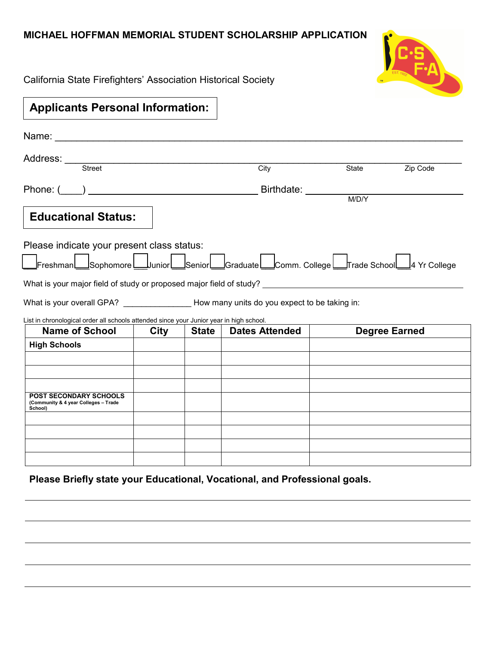## **MICHAEL HOFFMAN MEMORIAL STUDENT SCHOLARSHIP APPLICATION**



California State Firefighters' Association Historical Society

| <b>Applicants Personal Information:</b>                                                                                                                                                                                        |             |              |                       |       |                      |
|--------------------------------------------------------------------------------------------------------------------------------------------------------------------------------------------------------------------------------|-------------|--------------|-----------------------|-------|----------------------|
| Name: Name: All and the state of the state of the state of the state of the state of the state of the state of the state of the state of the state of the state of the state of the state of the state of the state of the sta |             |              |                       |       |                      |
| Address: Street                                                                                                                                                                                                                |             |              | City                  | State | Zip Code             |
| Phone: $\begin{pmatrix} 1 & 1 \\ 1 & 1 \end{pmatrix}$                                                                                                                                                                          |             |              | Birthdate: ________   | M/D/Y |                      |
| <b>Educational Status:</b>                                                                                                                                                                                                     |             |              |                       |       |                      |
| Please indicate your present class status:<br>Freshman Sophomore Uunior Senior Graduate Comm. College Frade School 4 Yr College<br>What is your major field of study or proposed major field of study?                         |             |              |                       |       |                      |
| What is your overall GPA? How many units do you expect to be taking in:                                                                                                                                                        |             |              |                       |       |                      |
| List in chronological order all schools attended since your Junior year in high school.<br><b>Name of School</b>                                                                                                               | <b>City</b> | <b>State</b> | <b>Dates Attended</b> |       | <b>Degree Earned</b> |
| <b>High Schools</b>                                                                                                                                                                                                            |             |              |                       |       |                      |
|                                                                                                                                                                                                                                |             |              |                       |       |                      |
|                                                                                                                                                                                                                                |             |              |                       |       |                      |
| <b>POST SECONDARY SCHOOLS</b><br>(Community & 4 year Colleges - Trade<br>School)                                                                                                                                               |             |              |                       |       |                      |
|                                                                                                                                                                                                                                |             |              |                       |       |                      |
|                                                                                                                                                                                                                                |             |              |                       |       |                      |
|                                                                                                                                                                                                                                |             |              |                       |       |                      |
|                                                                                                                                                                                                                                |             |              |                       |       |                      |

**Please Briefly state your Educational, Vocational, and Professional goals.**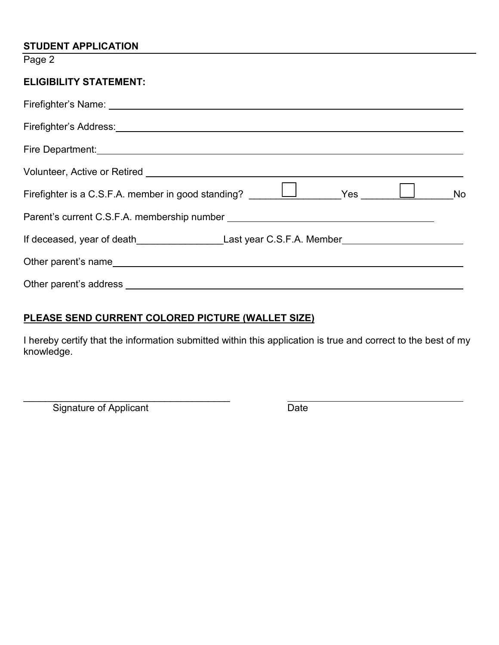#### **STUDENT APPLICATION**

Page 2

# **ELIGIBILITY STATEMENT:**

| Firefighter's Address: National Address: National Address of the Address of the Address of the Address of the Address of the Address of the Address of the Address of the Address of the Address of the Address of the Address |  |  |  |  |
|--------------------------------------------------------------------------------------------------------------------------------------------------------------------------------------------------------------------------------|--|--|--|--|
|                                                                                                                                                                                                                                |  |  |  |  |
|                                                                                                                                                                                                                                |  |  |  |  |
| Firefighter is a C.S.F.A. member in good standing? $\Box$ Yes $\Box$                                                                                                                                                           |  |  |  |  |
|                                                                                                                                                                                                                                |  |  |  |  |
| If deceased, year of death_________________________________Last year C.S.F.A. Member__________________________                                                                                                                 |  |  |  |  |
|                                                                                                                                                                                                                                |  |  |  |  |
|                                                                                                                                                                                                                                |  |  |  |  |

## **PLEASE SEND CURRENT COLORED PICTURE (WALLET SIZE)**

I hereby certify that the information submitted within this application is true and correct to the best of my knowledge.

\_\_\_\_\_\_\_\_\_\_\_\_\_\_\_\_\_\_\_\_\_\_\_\_\_\_\_\_\_\_\_\_\_\_\_\_\_\_ Signature of Applicant Date